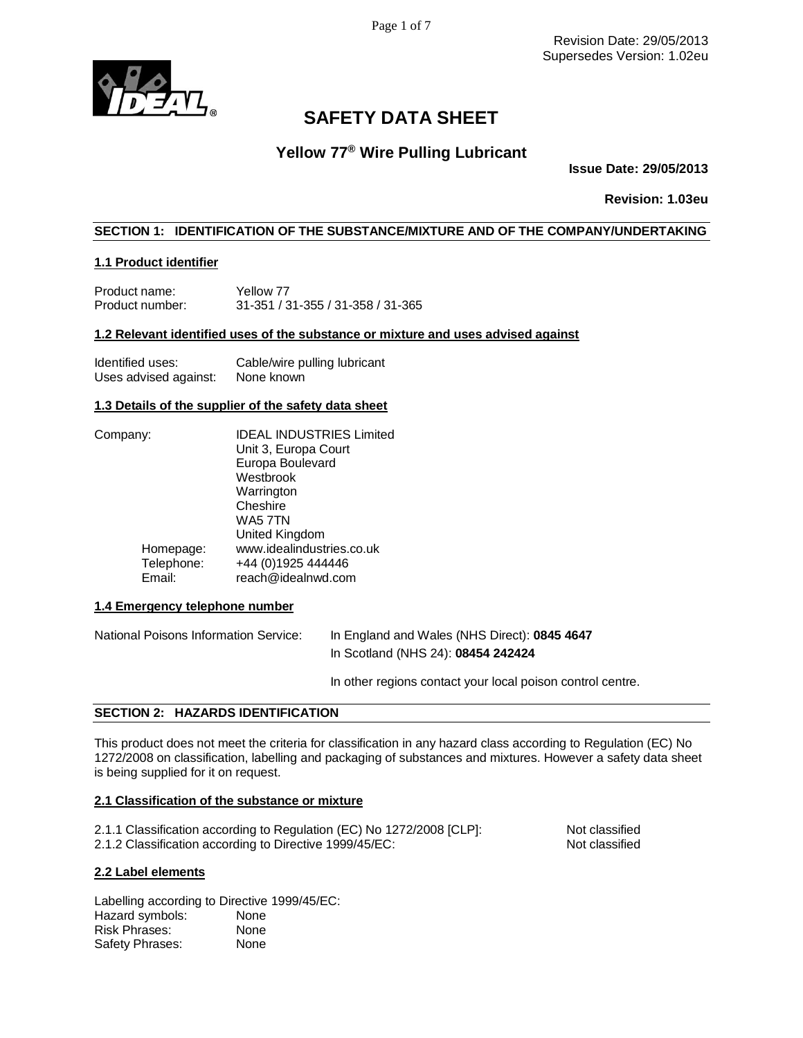Page 1 of 7

Revision Date: 29/05/2013 Supersedes Version: 1.02eu



# **SAFETY DATA SHEET**

# **Yellow 77® Wire Pulling Lubricant**

**Issue Date: 29/05/2013**

**Revision: 1.03eu**

# **SECTION 1: IDENTIFICATION OF THE SUBSTANCE/MIXTURE AND OF THE COMPANY/UNDERTAKING**

# **1.1 Product identifier**

Product name: Yellow 77<br>Product number: 31-351 / 3 Product number: 31-351 / 31-355 / 31-358 / 31-365

### **1.2 Relevant identified uses of the substance or mixture and uses advised against**

| Identified uses:      | Cable/wire pulling lubricant |
|-----------------------|------------------------------|
| Uses advised against: | None known                   |

## **1.3 Details of the supplier of the safety data sheet**

| Company: |            | <b>IDEAL INDUSTRIES Limited</b> |
|----------|------------|---------------------------------|
|          |            | Unit 3, Europa Court            |
|          |            | Europa Boulevard                |
|          |            | Westbrook                       |
|          |            | Warrington                      |
|          |            | Cheshire                        |
|          |            | WA5 7TN                         |
|          |            | United Kingdom                  |
|          | Homepage:  | www.idealindustries.co.uk       |
|          | Telephone: | +44 (0)1925 444446              |
|          | Email:     | reach@idealnwd.com              |
|          |            |                                 |

# **1.4 Emergency telephone number**

National Poisons Information Service: In England and Wales (NHS Direct): **0845 4647** In Scotland (NHS 24): **08454 242424**

In other regions contact your local poison control centre.

# **SECTION 2: HAZARDS IDENTIFICATION**

This product does not meet the criteria for classification in any hazard class according to Regulation (EC) No 1272/2008 on classification, labelling and packaging of substances and mixtures. However a safety data sheet is being supplied for it on request.

### **2.1 Classification of the substance or mixture**

| 2.1.1 Classification according to Regulation (EC) No 1272/2008 [CLP]: | Not classified |
|-----------------------------------------------------------------------|----------------|
| 2.1.2 Classification according to Directive 1999/45/EC:               | Not classified |

### **2.2 Label elements**

Labelling according to Directive 1999/45/EC: Hazard symbols: None Risk Phrases: None Safety Phrases: None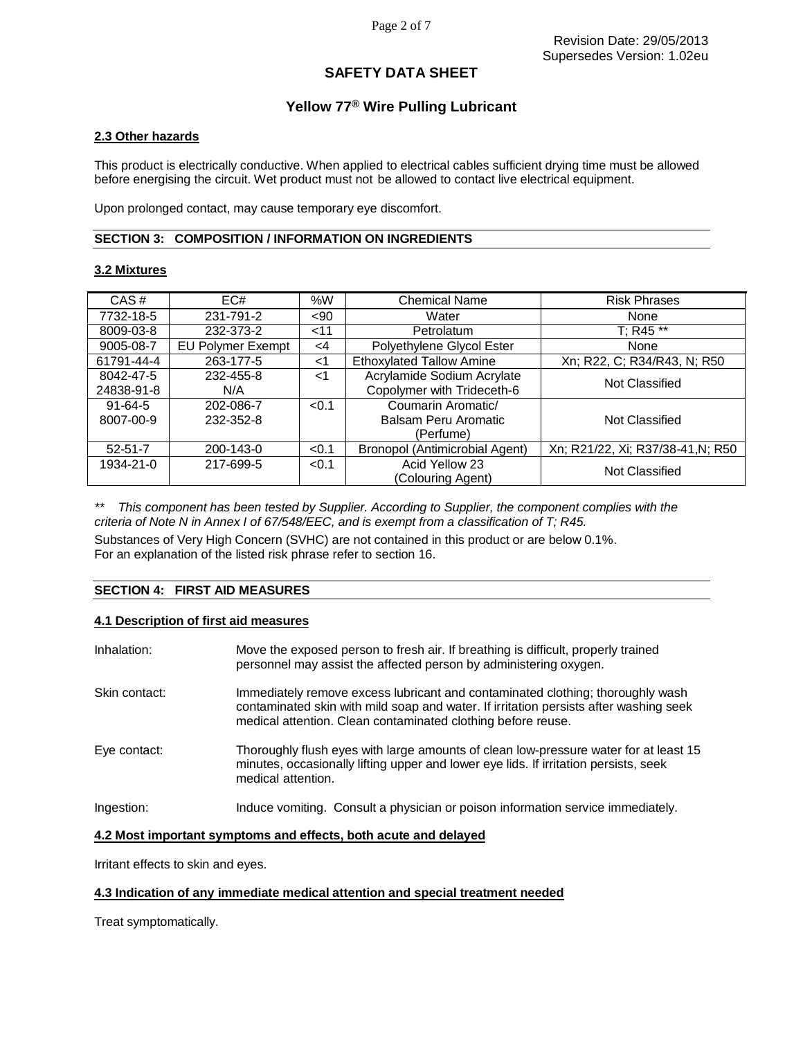# **Yellow 77® Wire Pulling Lubricant**

### **2.3 Other hazards**

This product is electrically conductive. When applied to electrical cables sufficient drying time must be allowed before energising the circuit. Wet product must not be allowed to contact live electrical equipment.

Upon prolonged contact, may cause temporary eye discomfort.

#### **SECTION 3: COMPOSITION / INFORMATION ON INGREDIENTS**

### **3.2 Mixtures**

| CAS#          | EC#                      | %W     | <b>Chemical Name</b>            | <b>Risk Phrases</b>               |
|---------------|--------------------------|--------|---------------------------------|-----------------------------------|
| 7732-18-5     | 231-791-2                | $90$   | Water                           | None                              |
| 8009-03-8     | 232-373-2                | $<$ 11 | Petrolatum                      | $T: R45$ **                       |
| 9005-08-7     | <b>EU Polymer Exempt</b> | <4     | Polyethylene Glycol Ester       | None                              |
| 61791-44-4    | 263-177-5                | $<$ 1  | <b>Ethoxylated Tallow Amine</b> | Xn; R22, C; R34/R43, N; R50       |
| 8042-47-5     | 232-455-8                | ا>     | Acrylamide Sodium Acrylate      | Not Classified                    |
| 24838-91-8    | N/A                      |        | Copolymer with Trideceth-6      |                                   |
| $91 - 64 - 5$ | 202-086-7                | < 0.1  | Coumarin Aromatic/              |                                   |
| 8007-00-9     | 232-352-8                |        | Balsam Peru Aromatic            | Not Classified                    |
|               |                          |        | (Perfume)                       |                                   |
| $52 - 51 - 7$ | 200-143-0                | < 0.1  | Bronopol (Antimicrobial Agent)  | Xn; R21/22, Xi; R37/38-41, N; R50 |
| 1934-21-0     | 217-699-5                | < 0.1  | Acid Yellow 23                  | Not Classified                    |
|               |                          |        | (Colouring Agent)               |                                   |

*\*\* This component has been tested by Supplier. According to Supplier, the component complies with the criteria of Note N in Annex I of 67/548/EEC, and is exempt from a classification of T; R45.*

Substances of Very High Concern (SVHC) are not contained in this product or are below 0.1%. For an explanation of the listed risk phrase refer to section 16.

### **SECTION 4: FIRST AID MEASURES**

### **4.1 Description of first aid measures**

| Inhalation:   | Move the exposed person to fresh air. If breathing is difficult, properly trained<br>personnel may assist the affected person by administering oxygen.                                                                                  |
|---------------|-----------------------------------------------------------------------------------------------------------------------------------------------------------------------------------------------------------------------------------------|
| Skin contact: | Immediately remove excess lubricant and contaminated clothing; thoroughly wash<br>contaminated skin with mild soap and water. If irritation persists after washing seek<br>medical attention. Clean contaminated clothing before reuse. |
| Eye contact:  | Thoroughly flush eyes with large amounts of clean low-pressure water for at least 15<br>minutes, occasionally lifting upper and lower eye lids. If irritation persists, seek<br>medical attention.                                      |
| Ingestion:    | Induce vomiting. Consult a physician or poison information service immediately.                                                                                                                                                         |

### **4.2 Most important symptoms and effects, both acute and delayed**

Irritant effects to skin and eyes.

### **4.3 Indication of any immediate medical attention and special treatment needed**

Treat symptomatically.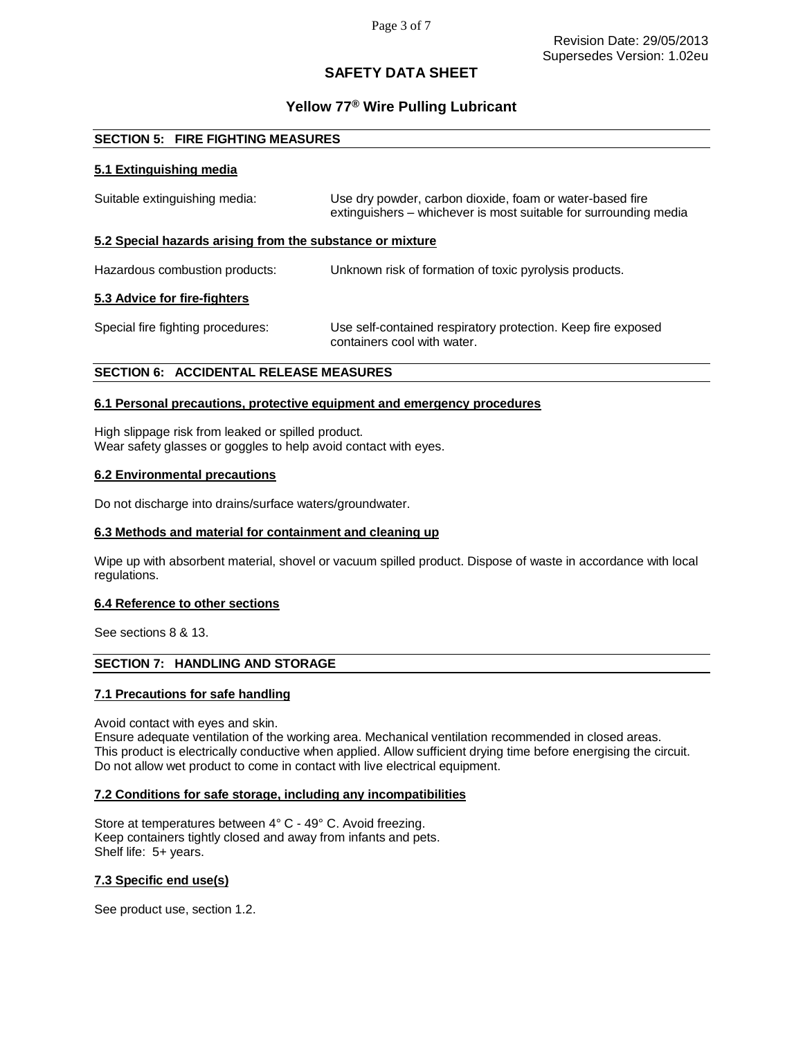# **Yellow 77® Wire Pulling Lubricant**

# **SECTION 5: FIRE FIGHTING MEASURES**

## **5.1 Extinguishing media**

| Suitable extinguishing media:                             | Use dry powder, carbon dioxide, foam or water-based fire<br>extinguishers – whichever is most suitable for surrounding media |  |
|-----------------------------------------------------------|------------------------------------------------------------------------------------------------------------------------------|--|
| 5.2 Special hazards arising from the substance or mixture |                                                                                                                              |  |
| Hazardous combustion products:                            | Unknown risk of formation of toxic pyrolysis products.                                                                       |  |
| 5.3 Advice for fire-fighters                              |                                                                                                                              |  |
| Special fire fighting procedures:                         | Use self-contained respiratory protection. Keep fire exposed<br>containers cool with water.                                  |  |
| <b>SECTION 6: ACCIDENTAL RELEASE MEASURES</b>             |                                                                                                                              |  |

# **6.1 Personal precautions, protective equipment and emergency procedures**

High slippage risk from leaked or spilled product. Wear safety glasses or goggles to help avoid contact with eyes.

### **6.2 Environmental precautions**

Do not discharge into drains/surface waters/groundwater.

### **6.3 Methods and material for containment and cleaning up**

Wipe up with absorbent material, shovel or vacuum spilled product. Dispose of waste in accordance with local regulations.

#### **6.4 Reference to other sections**

See sections 8 & 13.

# **SECTION 7: HANDLING AND STORAGE**

### **7.1 Precautions for safe handling**

Avoid contact with eyes and skin.

Ensure adequate ventilation of the working area. Mechanical ventilation recommended in closed areas. This product is electrically conductive when applied. Allow sufficient drying time before energising the circuit. Do not allow wet product to come in contact with live electrical equipment.

#### **7.2 Conditions for safe storage, including any incompatibilities**

Store at temperatures between 4° C - 49° C. Avoid freezing. Keep containers tightly closed and away from infants and pets. Shelf life: 5+ years.

### **7.3 Specific end use(s)**

See product use, section 1.2.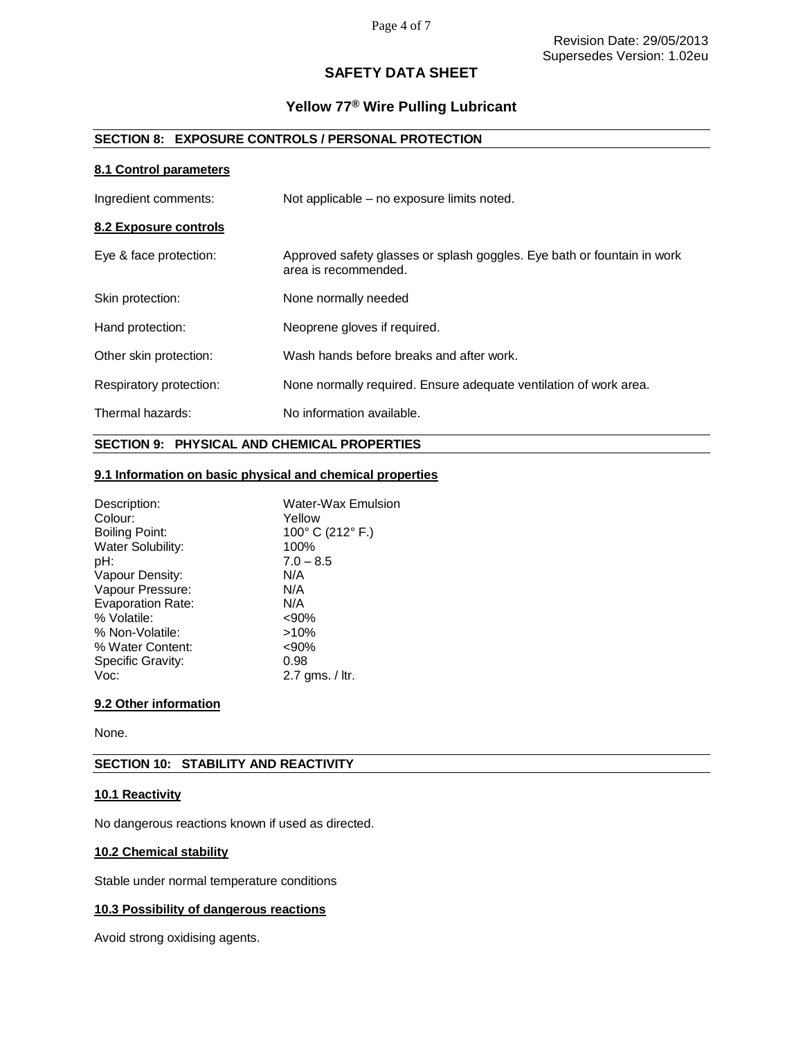# **Yellow 77® Wire Pulling Lubricant**

# **SECTION 8: EXPOSURE CONTROLS / PERSONAL PROTECTION**

# **8.1 Control parameters**

| Ingredient comments:    | Not applicable – no exposure limits noted.                                                      |
|-------------------------|-------------------------------------------------------------------------------------------------|
| 8.2 Exposure controls   |                                                                                                 |
| Eye & face protection:  | Approved safety glasses or splash goggles. Eye bath or fountain in work<br>area is recommended. |
| Skin protection:        | None normally needed                                                                            |
| Hand protection:        | Neoprene gloves if required.                                                                    |
| Other skin protection:  | Wash hands before breaks and after work.                                                        |
| Respiratory protection: | None normally required. Ensure adequate ventilation of work area.                               |
| Thermal hazards:        | No information available.                                                                       |

# **SECTION 9: PHYSICAL AND CHEMICAL PROPERTIES**

# **9.1 Information on basic physical and chemical properties**

| Description:             | <b>Water-Wax Emulsion</b> |
|--------------------------|---------------------------|
| Colour:                  | Yellow                    |
| Boiling Point:           | 100° C (212° F.)          |
| Water Solubility:        | 100%                      |
| pH:                      | $7.0 - 8.5$               |
| Vapour Density:          | N/A                       |
| Vapour Pressure:         | N/A                       |
| <b>Evaporation Rate:</b> | N/A                       |
| % Volatile:              | $<90\%$                   |
| % Non-Volatile:          | $>10\%$                   |
| % Water Content:         | $90%$                     |
| Specific Gravity:        | 0.98                      |
| Voc:                     | $2.7$ ams. $/$ ltr.       |

# **9.2 Other information**

None.

# **SECTION 10: STABILITY AND REACTIVITY**

# **10.1 Reactivity**

No dangerous reactions known if used as directed.

## **10.2 Chemical stability**

Stable under normal temperature conditions

# **10.3 Possibility of dangerous reactions**

Avoid strong oxidising agents.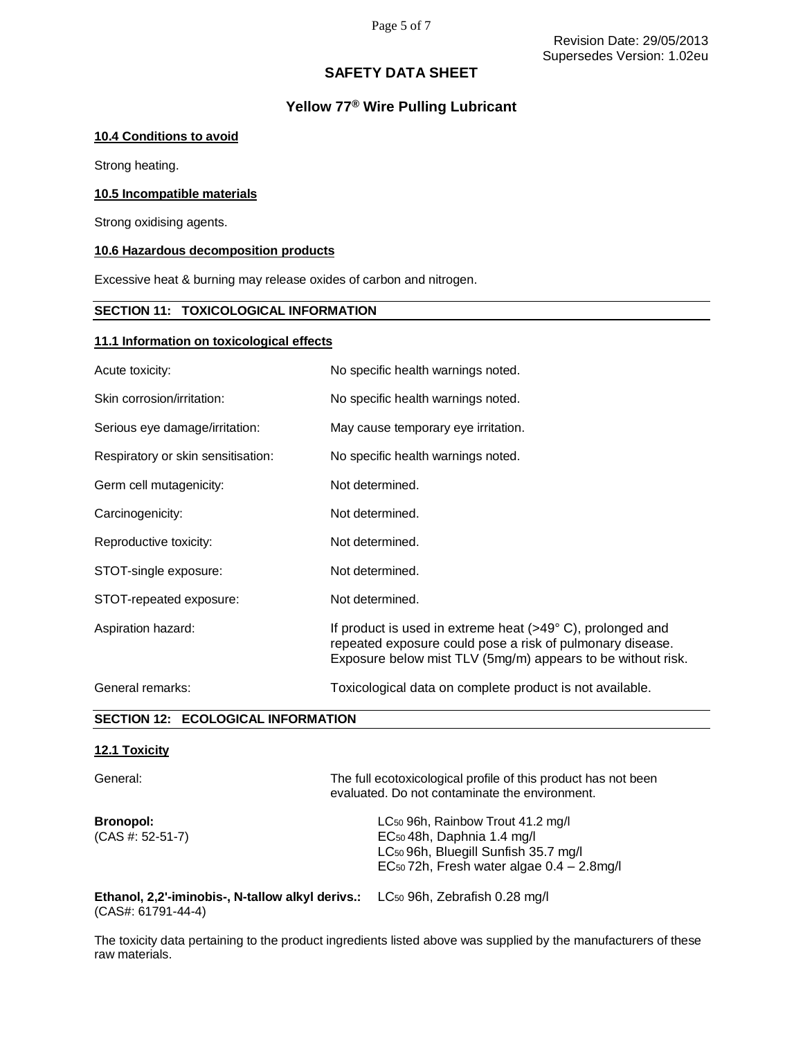# **Yellow 77® Wire Pulling Lubricant**

## **10.4 Conditions to avoid**

Strong heating.

## **10.5 Incompatible materials**

Strong oxidising agents.

## **10.6 Hazardous decomposition products**

Excessive heat & burning may release oxides of carbon and nitrogen.

# **SECTION 11: TOXICOLOGICAL INFORMATION**

### **11.1 Information on toxicological effects**

| Acute toxicity:                           | No specific health warnings noted.                                                                                                                                                    |  |
|-------------------------------------------|---------------------------------------------------------------------------------------------------------------------------------------------------------------------------------------|--|
| Skin corrosion/irritation:                | No specific health warnings noted.                                                                                                                                                    |  |
| Serious eye damage/irritation:            | May cause temporary eye irritation.                                                                                                                                                   |  |
| Respiratory or skin sensitisation:        | No specific health warnings noted.                                                                                                                                                    |  |
| Germ cell mutagenicity:                   | Not determined.                                                                                                                                                                       |  |
| Carcinogenicity:                          | Not determined.                                                                                                                                                                       |  |
| Reproductive toxicity:                    | Not determined.                                                                                                                                                                       |  |
| STOT-single exposure:                     | Not determined.                                                                                                                                                                       |  |
| STOT-repeated exposure:                   | Not determined.                                                                                                                                                                       |  |
| Aspiration hazard:                        | If product is used in extreme heat (>49°C), prolonged and<br>repeated exposure could pose a risk of pulmonary disease.<br>Exposure below mist TLV (5mg/m) appears to be without risk. |  |
| General remarks:                          | Toxicological data on complete product is not available.                                                                                                                              |  |
| <b>SECTION 12: ECOLOGICAL INFORMATION</b> |                                                                                                                                                                                       |  |

## **12.1 Toxicity**

| General:                                                                                                                  | The full ecotoxicological profile of this product has not been<br>evaluated. Do not contaminate the environment.                                                                                        |
|---------------------------------------------------------------------------------------------------------------------------|---------------------------------------------------------------------------------------------------------------------------------------------------------------------------------------------------------|
| <b>Bronopol:</b><br>$(CAS #: 52-51-7)$                                                                                    | LC <sub>50</sub> 96h, Rainbow Trout 41.2 mg/l<br>EC <sub>50</sub> 48h, Daphnia 1.4 mg/l<br>LC <sub>50</sub> 96h, Bluegill Sunfish 35.7 mg/l<br>EC <sub>50</sub> 72h, Fresh water algae $0.4 - 2.8$ mg/l |
| <b>Ethanol, 2,2'-iminobis-, N-tallow alkyl derivs.:</b> LC <sub>50</sub> 96h, Zebrafish 0.28 mg/l<br>$(CAS#: 61791-44-4)$ |                                                                                                                                                                                                         |

The toxicity data pertaining to the product ingredients listed above was supplied by the manufacturers of these raw materials.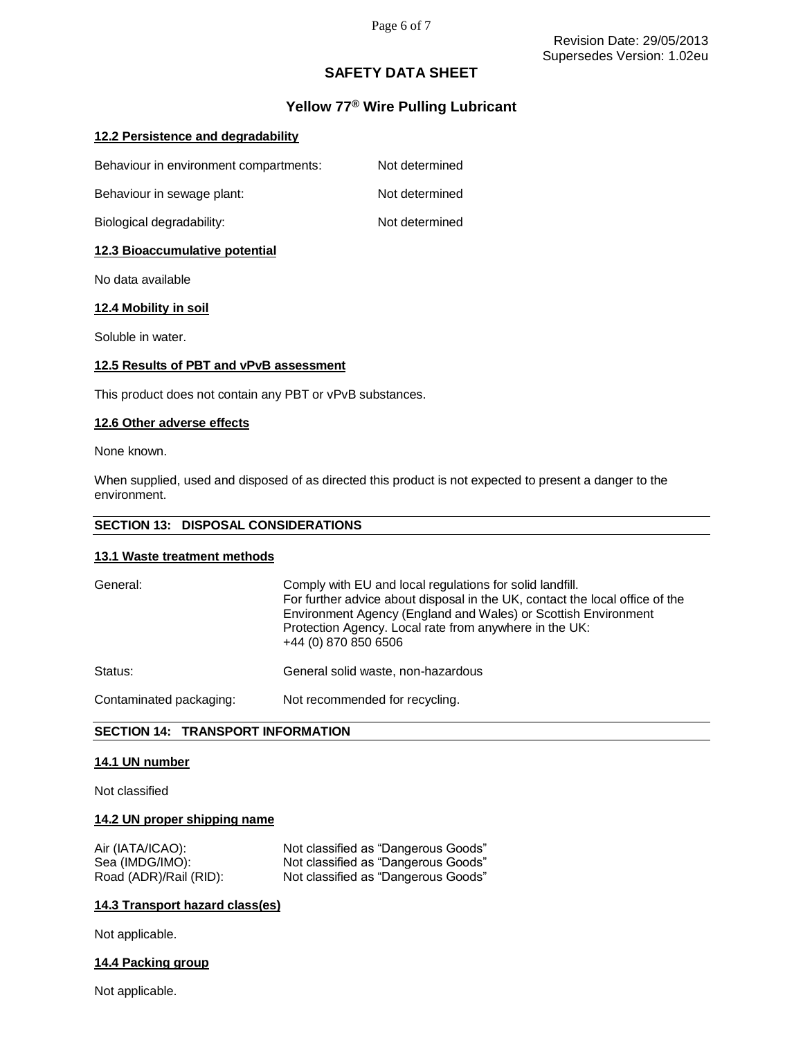# **Yellow 77® Wire Pulling Lubricant**

# **12.2 Persistence and degradability**

| Behaviour in environment compartments: | Not determined |
|----------------------------------------|----------------|
| Behaviour in sewage plant:             | Not determined |
| Biological degradability:              | Not determined |

## **12.3 Bioaccumulative potential**

No data available

### **12.4 Mobility in soil**

Soluble in water.

## **12.5 Results of PBT and vPvB assessment**

This product does not contain any PBT or vPvB substances.

### **12.6 Other adverse effects**

None known.

When supplied, used and disposed of as directed this product is not expected to present a danger to the environment.

## **SECTION 13: DISPOSAL CONSIDERATIONS**

### **13.1 Waste treatment methods**

| General:                | Comply with EU and local regulations for solid landfill.<br>For further advice about disposal in the UK, contact the local office of the<br>Environment Agency (England and Wales) or Scottish Environment<br>Protection Agency. Local rate from anywhere in the UK:<br>+44 (0) 870 850 6506 |
|-------------------------|----------------------------------------------------------------------------------------------------------------------------------------------------------------------------------------------------------------------------------------------------------------------------------------------|
| Status:                 | General solid waste, non-hazardous                                                                                                                                                                                                                                                           |
| Contaminated packaging: | Not recommended for recycling.                                                                                                                                                                                                                                                               |

# **SECTION 14: TRANSPORT INFORMATION**

#### **14.1 UN number**

Not classified

#### **14.2 UN proper shipping name**

| Air (IATA/ICAO):       | Not classified as "Dangerous Goods" |
|------------------------|-------------------------------------|
| Sea (IMDG/IMO):        | Not classified as "Dangerous Goods" |
| Road (ADR)/Rail (RID): | Not classified as "Dangerous Goods" |

### **14.3 Transport hazard class(es)**

Not applicable.

### **14.4 Packing group**

Not applicable.